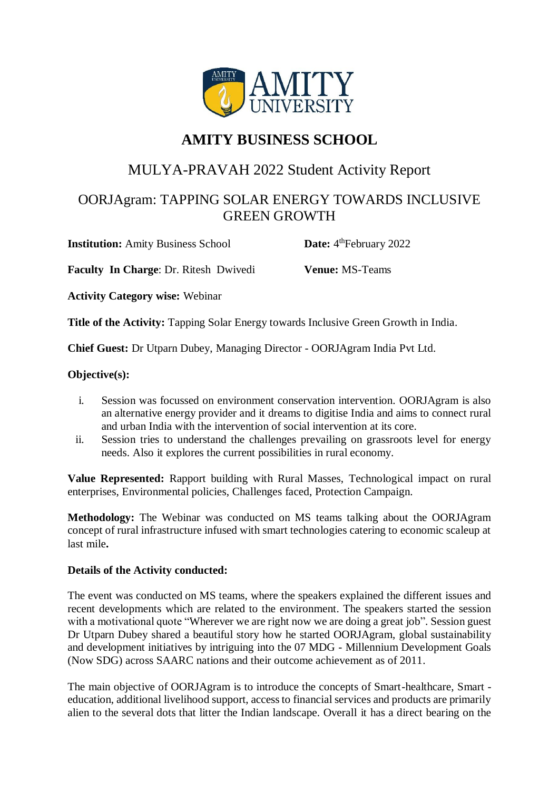

# **AMITY BUSINESS SCHOOL**

## MULYA-PRAVAH 2022 Student Activity Report

### OORJAgram: TAPPING SOLAR ENERGY TOWARDS INCLUSIVE GREEN GROWTH

**Institution:** Amity Business School

Date: 4<sup>th</sup>February 2022

**Faculty In Charge**: Dr. Ritesh Dwivedi **Venue:** MS-Teams

**Activity Category wise:** Webinar

**Title of the Activity:** Tapping Solar Energy towards Inclusive Green Growth in India.

**Chief Guest:** Dr Utparn Dubey, Managing Director - OORJAgram India Pvt Ltd.

### **Objective(s):**

- i. Session was focussed on environment conservation intervention. OORJAgram is also an alternative energy provider and it dreams to digitise India and aims to connect rural and urban India with the intervention of social intervention at its core.
- ii. Session tries to understand the challenges prevailing on grassroots level for energy needs. Also it explores the current possibilities in rural economy.

**Value Represented:** Rapport building with Rural Masses, Technological impact on rural enterprises, Environmental policies, Challenges faced, Protection Campaign.

**Methodology:** The Webinar was conducted on MS teams talking about the OORJAgram concept of rural infrastructure infused with smart technologies catering to economic scaleup at last mile**.**

### **Details of the Activity conducted:**

The event was conducted on MS teams, where the speakers explained the different issues and recent developments which are related to the environment. The speakers started the session with a motivational quote "Wherever we are right now we are doing a great job". Session guest Dr Utparn Dubey shared a beautiful story how he started OORJAgram, global sustainability and development initiatives by intriguing into the 07 MDG - Millennium Development Goals (Now SDG) across SAARC nations and their outcome achievement as of 2011.

The main objective of OORJAgram is to introduce the concepts of Smart-healthcare, Smart education, additional livelihood support, access to financial services and products are primarily alien to the several dots that litter the Indian landscape. Overall it has a direct bearing on the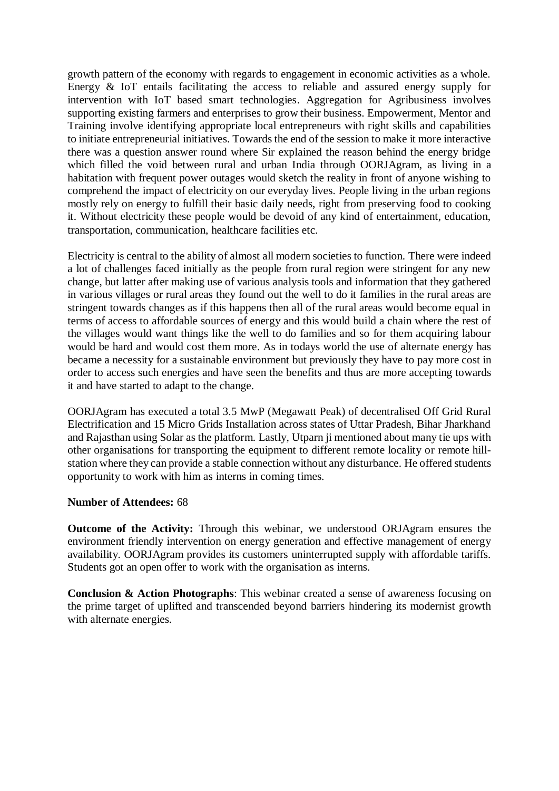growth pattern of the economy with regards to engagement in economic activities as a whole. Energy & IoT entails facilitating the access to reliable and assured energy supply for intervention with IoT based smart technologies. Aggregation for Agribusiness involves supporting existing farmers and enterprises to grow their business. Empowerment, Mentor and Training involve identifying appropriate local entrepreneurs with right skills and capabilities to initiate entrepreneurial initiatives. Towards the end of the session to make it more interactive there was a question answer round where Sir explained the reason behind the energy bridge which filled the void between rural and urban India through OORJAgram, as living in a habitation with frequent power outages would sketch the reality in front of anyone wishing to comprehend the impact of electricity on our everyday lives. People living in the urban regions mostly rely on energy to fulfill their basic daily needs, right from preserving food to cooking it. Without electricity these people would be devoid of any kind of entertainment, education, transportation, communication, healthcare facilities etc.

Electricity is central to the ability of almost all modern societies to function. There were indeed a lot of challenges faced initially as the people from rural region were stringent for any new change, but latter after making use of various analysis tools and information that they gathered in various villages or rural areas they found out the well to do it families in the rural areas are stringent towards changes as if this happens then all of the rural areas would become equal in terms of access to affordable sources of energy and this would build a chain where the rest of the villages would want things like the well to do families and so for them acquiring labour would be hard and would cost them more. As in todays world the use of alternate energy has became a necessity for a sustainable environment but previously they have to pay more cost in order to access such energies and have seen the benefits and thus are more accepting towards it and have started to adapt to the change.

OORJAgram has executed a total 3.5 MwP (Megawatt Peak) of decentralised Off Grid Rural Electrification and 15 Micro Grids Installation across states of Uttar Pradesh, Bihar Jharkhand and Rajasthan using Solar as the platform. Lastly, Utparn ji mentioned about many tie ups with other organisations for transporting the equipment to different remote locality or remote hillstation where they can provide a stable connection without any disturbance. He offered students opportunity to work with him as interns in coming times.

#### **Number of Attendees:** 68

**Outcome of the Activity:** Through this webinar, we understood ORJAgram ensures the environment friendly intervention on energy generation and effective management of energy availability. OORJAgram provides its customers uninterrupted supply with affordable tariffs. Students got an open offer to work with the organisation as interns.

**Conclusion & Action Photographs**: This webinar created a sense of awareness focusing on the prime target of uplifted and transcended beyond barriers hindering its modernist growth with alternate energies.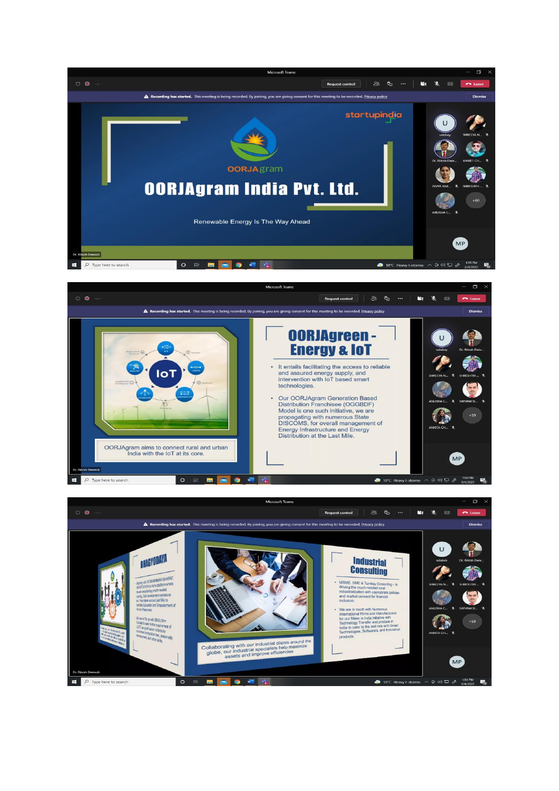



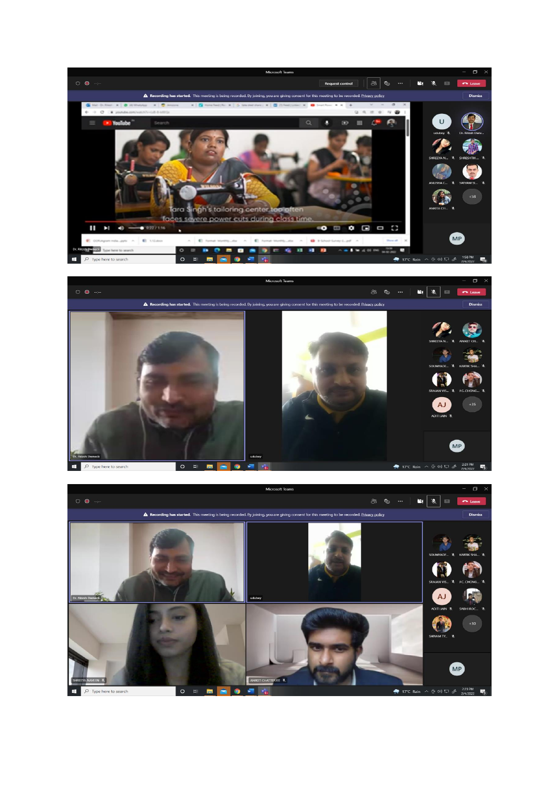